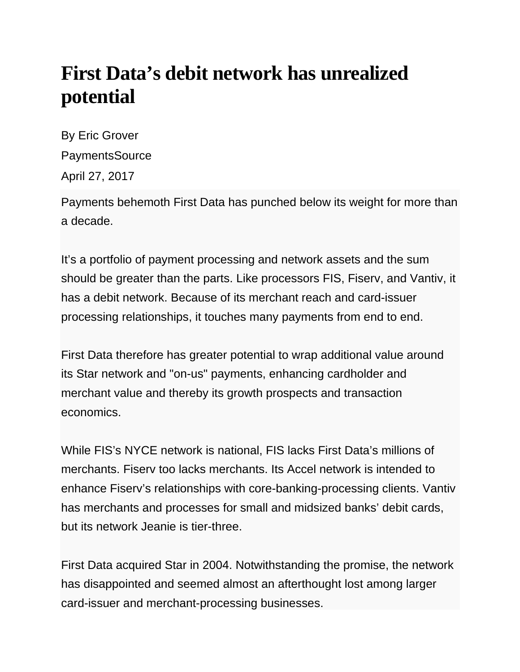## **First Data's debit network has unrealized potential**

By Eric Grover **PaymentsSource** April 27, 2017

Payments behemoth First Data has punched below its weight for more than a decade.

It's a portfolio of payment processing and network assets and the sum should be greater than the parts. Like processors FIS, Fiserv, and Vantiv, it has a debit network. Because of its merchant reach and card-issuer processing relationships, it touches many payments from end to end.

First Data therefore has greater potential to wrap additional value around its Star network and "on-us" payments, enhancing cardholder and merchant value and thereby its growth prospects and transaction economics.

While FIS's NYCE network is national, FIS lacks First Data's millions of merchants. Fiserv too lacks merchants. Its Accel network is intended to enhance Fiserv's relationships with core-banking-processing clients. Vantiv has merchants and processes for small and midsized banks' debit cards, but its network Jeanie is tier-three.

First Data acquired Star in 2004. Notwithstanding the promise, the network has disappointed and seemed almost an afterthought lost among larger card-issuer and merchant-processing businesses.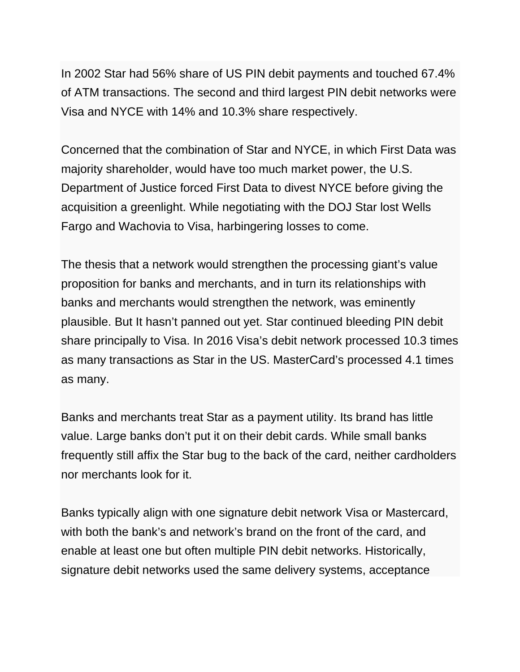In 2002 Star had 56% share of US PIN debit payments and touched 67.4% of ATM transactions. The second and third largest PIN debit networks were Visa and NYCE with 14% and 10.3% share respectively.

Concerned that the combination of Star and NYCE, in which First Data was majority shareholder, would have too much market power, the U.S. Department of Justice forced First Data to divest NYCE before giving the acquisition a greenlight. While negotiating with the DOJ Star lost Wells Fargo and Wachovia to Visa, harbingering losses to come.

The thesis that a network would strengthen the processing giant's value proposition for banks and merchants, and in turn its relationships with banks and merchants would strengthen the network, was eminently plausible. But It hasn't panned out yet. Star continued bleeding PIN debit share principally to Visa. In 2016 Visa's debit network processed 10.3 times as many transactions as Star in the US. MasterCard's processed 4.1 times as many.

Banks and merchants treat Star as a payment utility. Its brand has little value. Large banks don't put it on their debit cards. While small banks frequently still affix the Star bug to the back of the card, neither cardholders nor merchants look for it.

Banks typically align with one signature debit network Visa or Mastercard, with both the bank's and network's brand on the front of the card, and enable at least one but often multiple PIN debit networks. Historically, signature debit networks used the same delivery systems, acceptance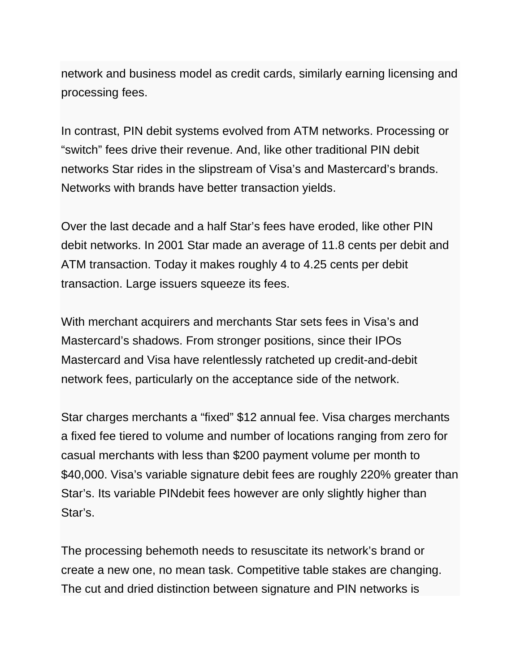network and business model as credit cards, similarly earning licensing and processing fees.

In contrast, PIN debit systems evolved from ATM networks. Processing or "switch" fees drive their revenue. And, like other traditional PIN debit networks Star rides in the slipstream of Visa's and Mastercard's brands. Networks with brands have better transaction yields.

Over the last decade and a half Star's fees have eroded, like other PIN debit networks. In 2001 Star made an average of 11.8 cents per debit and ATM transaction. Today it makes roughly 4 to 4.25 cents per debit transaction. Large issuers squeeze its fees.

With merchant acquirers and merchants Star sets fees in Visa's and Mastercard's shadows. From stronger positions, since their IPOs Mastercard and Visa have relentlessly ratcheted up credit-and-debit network fees, particularly on the acceptance side of the network.

Star charges merchants a "fixed" \$12 annual fee. Visa charges merchants a fixed fee tiered to volume and number of locations ranging from zero for casual merchants with less than \$200 payment volume per month to \$40,000. Visa's variable signature debit fees are roughly 220% greater than Star's. Its variable PINdebit fees however are only slightly higher than Star's.

The processing behemoth needs to resuscitate its network's brand or create a new one, no mean task. Competitive table stakes are changing. The cut and dried distinction between signature and PIN networks is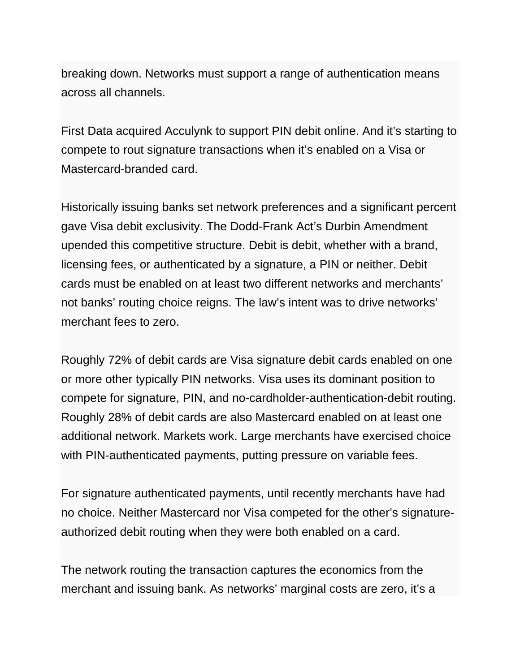breaking down. Networks must support a range of authentication means across all channels.

First Data acquired Acculynk to support PIN debit online. And it's starting to compete to rout signature transactions when it's enabled on a Visa or Mastercard-branded card.

Historically issuing banks set network preferences and a significant percent gave Visa debit exclusivity. The Dodd-Frank Act's Durbin Amendment upended this competitive structure. Debit is debit, whether with a brand, licensing fees, or authenticated by a signature, a PIN or neither. Debit cards must be enabled on at least two different networks and merchants' not banks' routing choice reigns. The law's intent was to drive networks' merchant fees to zero.

Roughly 72% of debit cards are Visa signature debit cards enabled on one or more other typically PIN networks. Visa uses its dominant position to compete for signature, PIN, and no-cardholder-authentication-debit routing. Roughly 28% of debit cards are also Mastercard enabled on at least one additional network. Markets work. Large merchants have exercised choice with PIN-authenticated payments, putting pressure on variable fees.

For signature authenticated payments, until recently merchants have had no choice. Neither Mastercard nor Visa competed for the other's signatureauthorized debit routing when they were both enabled on a card.

The network routing the transaction captures the economics from the merchant and issuing bank. As networks' marginal costs are zero, it's a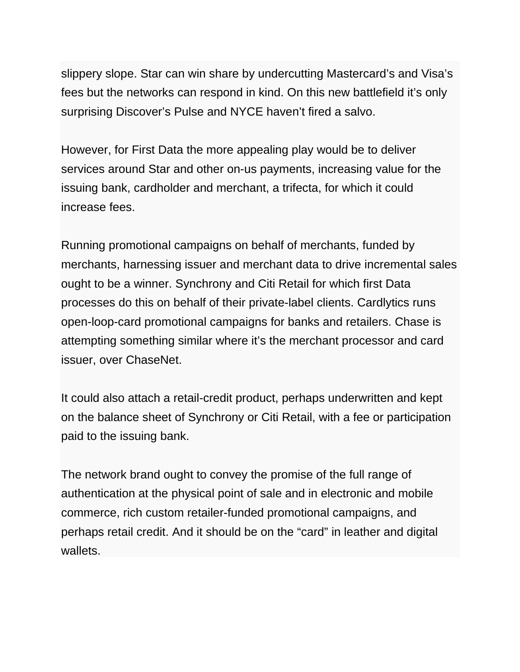slippery slope. Star can win share by undercutting Mastercard's and Visa's fees but the networks can respond in kind. On this new battlefield it's only surprising Discover's Pulse and NYCE haven't fired a salvo.

However, for First Data the more appealing play would be to deliver services around Star and other on-us payments, increasing value for the issuing bank, cardholder and merchant, a trifecta, for which it could increase fees.

Running promotional campaigns on behalf of merchants, funded by merchants, harnessing issuer and merchant data to drive incremental sales ought to be a winner. Synchrony and Citi Retail for which first Data processes do this on behalf of their private-label clients. Cardlytics runs open-loop-card promotional campaigns for banks and retailers. Chase is attempting something similar where it's the merchant processor and card issuer, over ChaseNet.

It could also attach a retail-credit product, perhaps underwritten and kept on the balance sheet of Synchrony or Citi Retail, with a fee or participation paid to the issuing bank.

The network brand ought to convey the promise of the full range of authentication at the physical point of sale and in electronic and mobile commerce, rich custom retailer-funded promotional campaigns, and perhaps retail credit. And it should be on the "card" in leather and digital wallets.